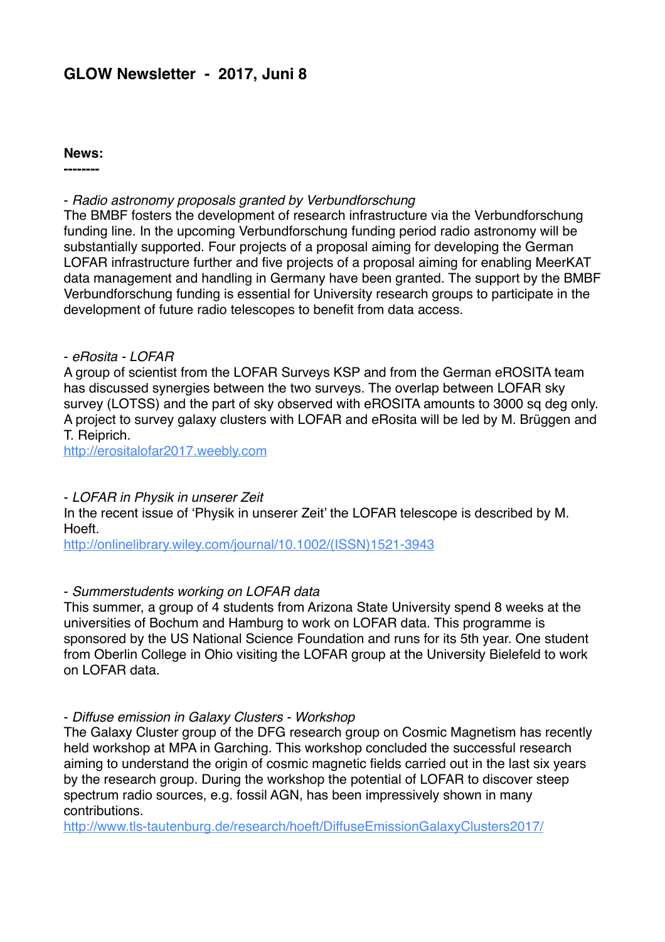# **GLOW Newsletter - 2017, Juni 8**

#### **News:**

**--------**

## - *Radio astronomy proposals granted by Verbundforschung*

The BMBF fosters the development of research infrastructure via the Verbundforschung funding line. In the upcoming Verbundforschung funding period radio astronomy will be substantially supported. Four projects of a proposal aiming for developing the German LOFAR infrastructure further and five projects of a proposal aiming for enabling MeerKAT data management and handling in Germany have been granted. The support by the BMBF Verbundforschung funding is essential for University research groups to participate in the development of future radio telescopes to benefit from data access.

### - *eRosita - LOFAR*

A group of scientist from the LOFAR Surveys KSP and from the German eROSITA team has discussed synergies between the two surveys. The overlap between LOFAR sky survey (LOTSS) and the part of sky observed with eROSITA amounts to 3000 sq deg only. A project to survey galaxy clusters with LOFAR and eRosita will be led by M. Brüggen and T. Reiprich.

[http://erositalofar2017.weebly.com](http://erositalofar2017.weebly.com/)

### - *LOFAR in Physik in unserer Zeit*

In the recent issue of 'Physik in unserer Zeit' the LOFAR telescope is described by M. Hoeft.

[http://onlinelibrary.wiley.com/journal/10.1002/\(ISSN\)1521-3943](http://onlinelibrary.wiley.com/journal/10.1002/(ISSN)1521-3943)

### - *Summerstudents working on LOFAR data*

This summer, a group of 4 students from Arizona State University spend 8 weeks at the universities of Bochum and Hamburg to work on LOFAR data. This programme is sponsored by the US National Science Foundation and runs for its 5th year. One student from Oberlin College in Ohio visiting the LOFAR group at the University Bielefeld to work on LOFAR data.

#### - *Diffuse emission in Galaxy Clusters - Workshop*

The Galaxy Cluster group of the DFG research group on Cosmic Magnetism has recently held workshop at MPA in Garching. This workshop concluded the successful research aiming to understand the origin of cosmic magnetic fields carried out in the last six years by the research group. During the workshop the potential of LOFAR to discover steep spectrum radio sources, e.g. fossil AGN, has been impressively shown in many contributions.

<http://www.tls-tautenburg.de/research/hoeft/DiffuseEmissionGalaxyClusters2017/>